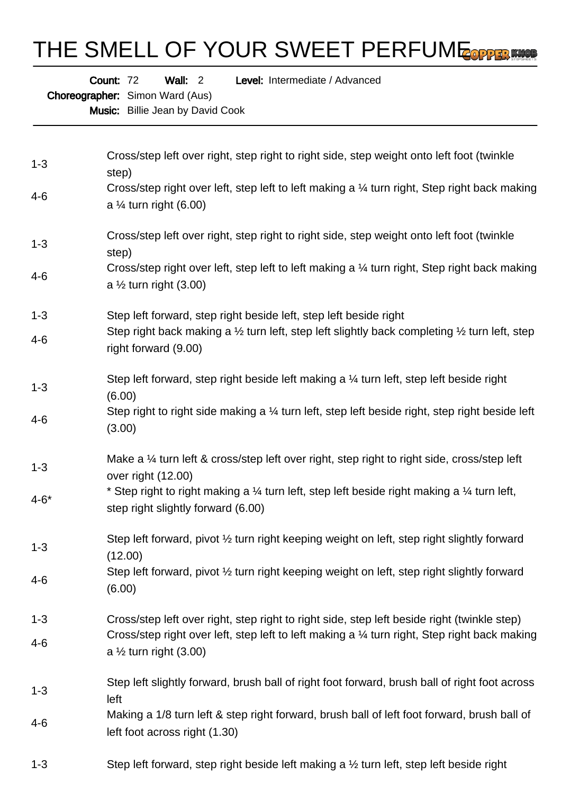## THE SMELL OF YOUR SWEET PERFUME COPPER MASS

Wall: 2 Level: Intermediate / Advanced

Choreographer: Simon Ward (Aus)

Count: 72

Music: Billie Jean by David Cook

| $1 - 3$  | Cross/step left over right, step right to right side, step weight onto left foot (twinkle<br>step)                                                     |
|----------|--------------------------------------------------------------------------------------------------------------------------------------------------------|
| 4-6      | Cross/step right over left, step left to left making a 1/4 turn right, Step right back making<br>a $\frac{1}{4}$ turn right (6.00)                     |
| $1 - 3$  | Cross/step left over right, step right to right side, step weight onto left foot (twinkle<br>step)                                                     |
| 4-6      | Cross/step right over left, step left to left making a 1/4 turn right, Step right back making<br>a $\frac{1}{2}$ turn right (3.00)                     |
| $1 - 3$  | Step left forward, step right beside left, step left beside right                                                                                      |
| $4 - 6$  | Step right back making a $\frac{1}{2}$ turn left, step left slightly back completing $\frac{1}{2}$ turn left, step<br>right forward (9.00)             |
| $1 - 3$  | Step left forward, step right beside left making a $\frac{1}{4}$ turn left, step left beside right<br>(6.00)                                           |
| $4 - 6$  | Step right to right side making a 1/4 turn left, step left beside right, step right beside left<br>(3.00)                                              |
| $1 - 3$  | Make a 1/4 turn left & cross/step left over right, step right to right side, cross/step left<br>over right (12.00)                                     |
| $4 - 6*$ | * Step right to right making a $\frac{1}{4}$ turn left, step left beside right making a $\frac{1}{4}$ turn left,<br>step right slightly forward (6.00) |
| $1 - 3$  | Step left forward, pivot 1/2 turn right keeping weight on left, step right slightly forward<br>(12.00)                                                 |
| 4-6      | Step left forward, pivot 1/2 turn right keeping weight on left, step right slightly forward<br>(6.00)                                                  |
| $1 - 3$  | Cross/step left over right, step right to right side, step left beside right (twinkle step)                                                            |
| $4-6$    | Cross/step right over left, step left to left making a 1/4 turn right, Step right back making<br>a $\frac{1}{2}$ turn right (3.00)                     |
| $1 - 3$  | Step left slightly forward, brush ball of right foot forward, brush ball of right foot across<br>left                                                  |
| $4 - 6$  | Making a 1/8 turn left & step right forward, brush ball of left foot forward, brush ball of<br>left foot across right (1.30)                           |
| $1 - 3$  | Step left forward, step right beside left making a 1/2 turn left, step left beside right                                                               |